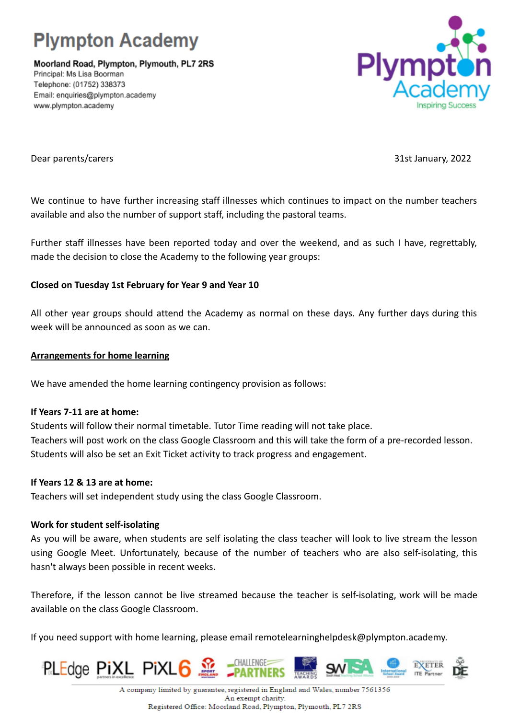

Moorland Road, Plympton, Plymouth, PL7 2RS Principal: Ms Lisa Boorman Telephone: (01752) 338373 Email: enquiries@plympton.academy www.plympton.academy



Dear parents/carers 31st January, 2022

We continue to have further increasing staff illnesses which continues to impact on the number teachers available and also the number of support staff, including the pastoral teams.

Further staff illnesses have been reported today and over the weekend, and as such I have, regrettably, made the decision to close the Academy to the following year groups:

# **Closed on Tuesday 1st February for Year 9 and Year 10**

All other year groups should attend the Academy as normal on these days. Any further days during this week will be announced as soon as we can.

## **Arrangements for home learning**

We have amended the home learning contingency provision as follows:

### **If Years 7-11 are at home:**

Students will follow their normal timetable. Tutor Time reading will not take place. Teachers will post work on the class Google Classroom and this will take the form of a pre-recorded lesson. Students will also be set an Exit Ticket activity to track progress and engagement.

### **If Years 12 & 13 are at home:**

Teachers will set independent study using the class Google Classroom.

### **Work for student self-isolating**

As you will be aware, when students are self isolating the class teacher will look to live stream the lesson using Google Meet. Unfortunately, because of the number of teachers who are also self-isolating, this hasn't always been possible in recent weeks.

Therefore, if the lesson cannot be live streamed because the teacher is self-isolating, work will be made available on the class Google Classroom.

If you need support with home learning, please email remotelearninghelpdesk@plympton.academy.